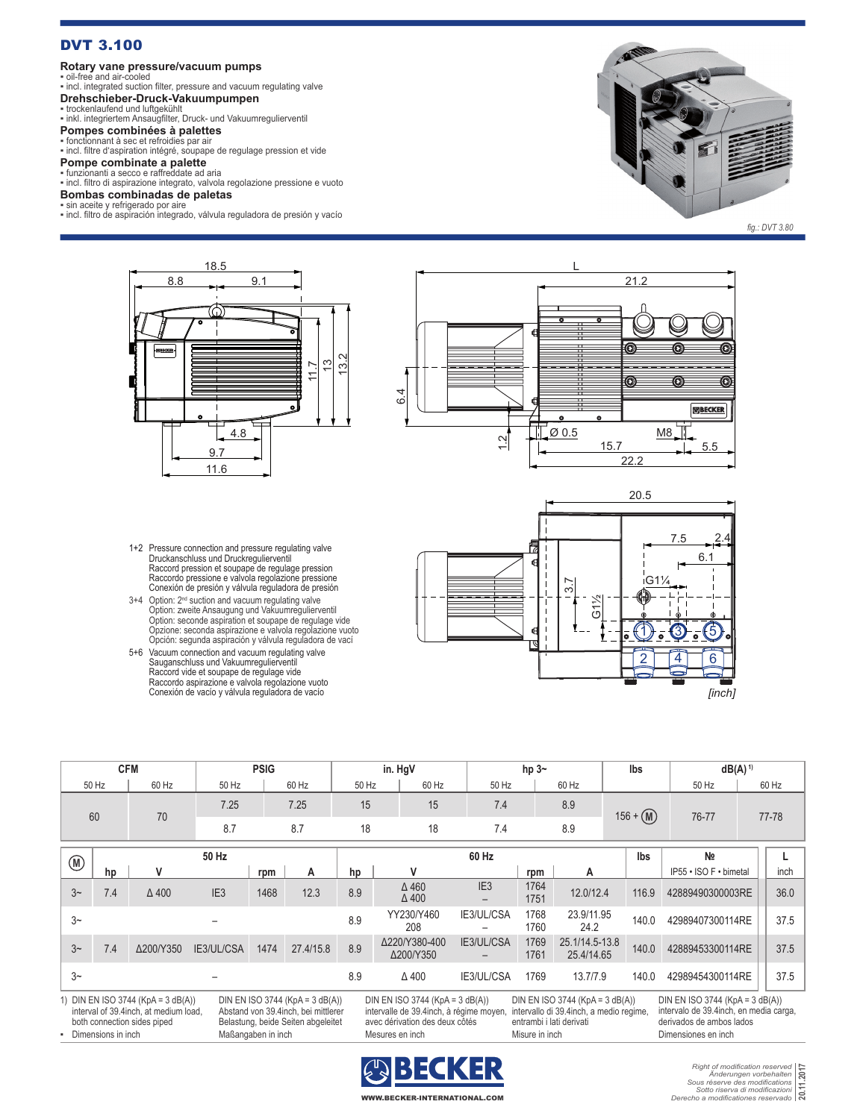### DVT 3.100

#### **Rotary vane pressure/vacuum pumps**

▪ oil-free and air-cooled ▪ incl. integrated suction filter, pressure and vacuum regulating valve

# **Drehschieber-Druck-Vakuumpumpen** ▪ trockenlaufend und luftgekühlt

▪ inkl. integriertem Ansaugfilter, Druck- und Vakuumregulierventil

**Pompes combinées à palettes**<br>▪ fonctionnant à sec et refroidies par air<br>▪ incl. filtre d'aspiration intégré, soupape de regulage pression et vide

# **Pompe combinate a palette** ▪ funzionanti a secco e raffreddate ad aria

▪ incl. filtro di aspirazione integrato, valvola regolazione pressione e vuoto **Bombas combinadas de paletas**

#### ▪ sin aceite y refrigerado por aire

▪ incl. filtro de aspiración integrado, válvula reguladora de presión y vacío



*fig.: DVT 3.80*



- 1+2 Pressure connection and pressure regulating valve Druckanschluss und Druckregulierventil Raccord pression et soupape de regulage pression Raccordo pressione e valvola regolazione pressione Conexión de presión y válvula reguladora de presión
- 3+4 Option: 2<sup>nd</sup> suction and vacuum regulating valve Option: zweite Ansaugung und Vakuumregulierventil Option: seconde aspiration et soupape de regulage vide Opzione: seconda aspirazione e valvola regolazione vuoto Opción: segunda aspiración y válvula reguladora de vací
- 5+6 Vacuum connection and vacuum regulating valve Sauganschluss und Vakuumregulierventil Raccord vide et soupape de regulage vide Raccordo aspirazione e valvola regolazione vuoto Conexión de vacío y válvula reguladora de vacío





| <b>CFM</b>                                                                                                                                                                                                                                                                                                                                                                                                                                                                                                                                                                   |     |              | <b>PSIG</b>     |      |           | in. HgV |                              |                 | hp $3-$      |                              | Ibs         |                        | $dB(A)^1$ |       |
|------------------------------------------------------------------------------------------------------------------------------------------------------------------------------------------------------------------------------------------------------------------------------------------------------------------------------------------------------------------------------------------------------------------------------------------------------------------------------------------------------------------------------------------------------------------------------|-----|--------------|-----------------|------|-----------|---------|------------------------------|-----------------|--------------|------------------------------|-------------|------------------------|-----------|-------|
| 50 Hz                                                                                                                                                                                                                                                                                                                                                                                                                                                                                                                                                                        |     | 60 Hz        | 50 Hz           |      | 60 Hz     |         | 60 Hz<br>50 Hz               | 50 Hz           |              | 60 Hz                        |             | 50 Hz                  |           | 60 Hz |
| 60                                                                                                                                                                                                                                                                                                                                                                                                                                                                                                                                                                           |     | 70           | 7.25            |      | 7.25      | 15      | 15                           | 7.4             |              | 8.9                          | $156 + (M)$ | 76-77                  | 77-78     |       |
|                                                                                                                                                                                                                                                                                                                                                                                                                                                                                                                                                                              |     |              | 8.7             |      | 8.7       | 18      | 18                           | 7.4             |              | 8.9                          |             |                        |           |       |
| $\circledR$                                                                                                                                                                                                                                                                                                                                                                                                                                                                                                                                                                  |     |              | 50 Hz           |      |           |         |                              | 60 Hz           |              |                              | Ibs         | N <sub>2</sub>         |           |       |
|                                                                                                                                                                                                                                                                                                                                                                                                                                                                                                                                                                              | hp  | ۷            |                 | rpm  | A         | hp      | v                            |                 | rpm          | A                            |             | IP55 · ISO F · bimetal |           | inch  |
| $3-$                                                                                                                                                                                                                                                                                                                                                                                                                                                                                                                                                                         | 7.4 | $\Delta$ 400 | IE <sub>3</sub> | 1468 | 12.3      | 8.9     | $\Delta$ 460<br>$\Delta$ 400 | IE <sub>3</sub> | 1764<br>1751 | 12.0/12.4                    | 116.9       | 42889490300003RE       |           | 36.0  |
| $3-$                                                                                                                                                                                                                                                                                                                                                                                                                                                                                                                                                                         |     |              |                 |      |           | 8.9     | YY230/Y460<br>208            | IE3/UL/CSA      | 1768<br>1760 | 23.9/11.95<br>24.2           | 140.0       | 42989407300114RE       |           | 37.5  |
| 3 <sup>~</sup>                                                                                                                                                                                                                                                                                                                                                                                                                                                                                                                                                               | 7.4 | Δ200/Y350    | IE3/UL/CSA      | 1474 | 27.4/15.8 | 8.9     | Δ220/Y380-400<br>Δ200/Y350   | IE3/UL/CSA      | 1769<br>1761 | 25.1/14.5-13.8<br>25.4/14.65 | 140.0       | 42889453300114RE       |           | 37.5  |
| $3-$                                                                                                                                                                                                                                                                                                                                                                                                                                                                                                                                                                         |     |              |                 |      |           | 8.9     | $\Delta$ 400                 | IE3/UL/CSA      | 1769         | 13.7/7.9                     | 140.0       | 42989454300114RE       |           | 37.5  |
| 1) DIN EN ISO 3744 (KpA = $3 dB(A)$ )<br>DIN EN ISO 3744 (KpA = $3$ dB(A))<br>DIN EN ISO 3744 (KpA = $3$ dB(A))<br>DIN EN ISO 3744 (KpA = $3$ dB(A))<br>DIN EN ISO 3744 (KpA = $3$ dB(A))<br>intervallo di 39.4 inch, a medio regime,<br>interval of 39.4inch, at medium load,<br>Abstand von 39.4 inch, bei mittlerer<br>intervalle de 39.4 inch, à régime moyen,<br>intervalo de 39.4 inch, en media carga,<br>Belastung, beide Seiten abgeleitet<br>entrambi i lati derivati<br>derivados de ambos lados<br>both connection sides piped<br>avec dérivation des deux côtés |     |              |                 |      |           |         |                              |                 |              |                              |             |                        |           |       |



▪ Dimensions in inch Maßangaben in inch Mesures en inch Misure in inch Dimensiones en inch

*Right of modification reserved Änderungen vorbehalten Sous réserve des modifications Sotto riserva di modificazioni Derecho a modificationes reservado* **20.11.2017**

 $\overline{v}$  where  $\overline{v}$ WWW.BECKER-INTERNATIONAL.COM